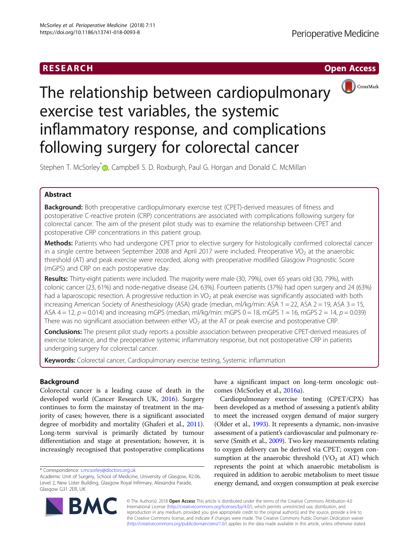



# The relationship between cardiopulmonary exercise test variables, the systemic inflammatory response, and complications following surgery for colorectal cancer

Stephen T. McSorley<sup>\*</sup> <sub>D</sub>[,](http://orcid.org/0000-0002-5459-8445) Campbell S. D. Roxburgh, Paul G. Horgan and Donald C. McMillan

# Abstract

Background: Both preoperative cardiopulmonary exercise test (CPET)-derived measures of fitness and postoperative C-reactive protein (CRP) concentrations are associated with complications following surgery for colorectal cancer. The aim of the present pilot study was to examine the relationship between CPET and postoperative CRP concentrations in this patient group.

Methods: Patients who had undergone CPET prior to elective surgery for histologically confirmed colorectal cancer in a single centre between September 2008 and April 2017 were included. Preoperative VO<sub>2</sub> at the anaerobic threshold (AT) and peak exercise were recorded, along with preoperative modified Glasgow Prognostic Score (mGPS) and CRP on each postoperative day.

Results: Thirty-eight patients were included. The majority were male (30, 79%), over 65 years old (30, 79%), with colonic cancer (23, 61%) and node-negative disease (24, 63%). Fourteen patients (37%) had open surgery and 24 (63%) had a laparoscopic resection. A progressive reduction in  $VO<sub>2</sub>$  at peak exercise was significantly associated with both increasing American Society of Anesthesiology (ASA) grade (median, ml/kg/min: ASA 1 = 22, ASA 2 = 19, ASA 3 = 15, ASA  $4 = 12$ ,  $p = 0.014$ ) and increasing mGPS (median, ml/kg/min: mGPS  $0 = 18$ , mGPS  $1 = 16$ , mGPS  $2 = 14$ ,  $p = 0.039$ ) There was no significant association between either VO<sub>2</sub> at the AT or peak exercise and postoperative CRP.

Conclusions: The present pilot study reports a possible association between preoperative CPET-derived measures of exercise tolerance, and the preoperative systemic inflammatory response, but not postoperative CRP in patients undergoing surgery for colorectal cancer.

Keywords: Colorectal cancer, Cardiopulmonary exercise testing, Systemic inflammation

# Background

Colorectal cancer is a leading cause of death in the developed world (Cancer Research UK, [2016](#page-5-0)). Surgery continues to form the mainstay of treatment in the majority of cases; however, there is a significant associated degree of morbidity and mortality (Ghaferi et al., [2011](#page-5-0)). Long-term survival is primarily dictated by tumour differentiation and stage at presentation; however, it is increasingly recognised that postoperative complications

have a significant impact on long-term oncologic outcomes (McSorley et al., [2016a\)](#page-5-0).

Cardiopulmonary exercise testing (CPET/CPX) has been developed as a method of assessing a patient's ability to meet the increased oxygen demand of major surgery (Older et al., [1993](#page-6-0)). It represents a dynamic, non-invasive assessment of a patient's cardiovascular and pulmonary reserve (Smith et al., [2009](#page-6-0)). Two key measurements relating to oxygen delivery can be derived via CPET; oxygen consumption at the anaerobic threshold  $(VO<sub>2</sub>$  at AT) which represents the point at which anaerobic metabolism is required in addition to aerobic metabolism to meet tissue energy demand, and oxygen consumption at peak exercise



© The Author(s). 2018 Open Access This article is distributed under the terms of the Creative Commons Attribution 4.0 International License [\(http://creativecommons.org/licenses/by/4.0/](http://creativecommons.org/licenses/by/4.0/)), which permits unrestricted use, distribution, and reproduction in any medium, provided you give appropriate credit to the original author(s) and the source, provide a link to the Creative Commons license, and indicate if changes were made. The Creative Commons Public Domain Dedication waiver [\(http://creativecommons.org/publicdomain/zero/1.0/](http://creativecommons.org/publicdomain/zero/1.0/)) applies to the data made available in this article, unless otherwise stated.

<sup>\*</sup> Correspondence: [s.mcsorley@doctors.org.uk](mailto:s.mcsorley@doctors.org.uk)

Academic Unit of Surgery, School of Medicine, University of Glasgow, R2.06, Level 2, New Lister Building, Glasgow Royal Infirmary, Alexandra Parade, Glasgow G31 2ER, UK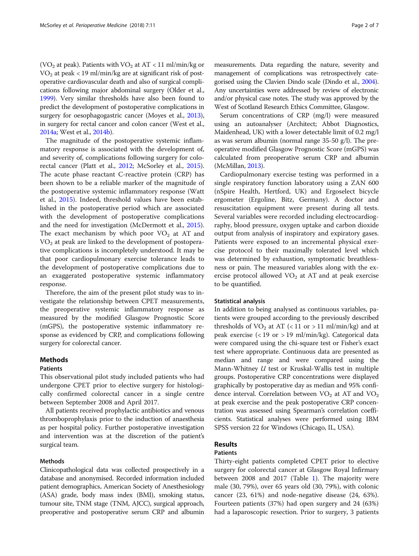(VO<sub>2</sub> at peak). Patients with VO<sub>2</sub> at AT < 11 ml/min/kg or  $VO<sub>2</sub>$  at peak < 19 ml/min/kg are at significant risk of postoperative cardiovascular death and also of surgical complications following major abdominal surgery (Older et al., [1999\)](#page-6-0). Very similar thresholds have also been found to predict the development of postoperative complications in surgery for oesophagogastric cancer (Moyes et al., [2013](#page-6-0)), in surgery for rectal cancer and colon cancer (West et al., [2014a](#page-6-0); West et al., [2014b](#page-6-0)).

The magnitude of the postoperative systemic inflammatory response is associated with the development of, and severity of, complications following surgery for colo-rectal cancer (Platt et al., [2012](#page-6-0); McSorley et al., [2015](#page-5-0)). The acute phase reactant C-reactive protein (CRP) has been shown to be a reliable marker of the magnitude of the postoperative systemic inflammatory response (Watt et al., [2015\)](#page-6-0). Indeed, threshold values have been established in the postoperative period which are associated with the development of postoperative complications and the need for investigation (McDermott et al., [2015](#page-5-0)). The exact mechanism by which poor  $VO<sub>2</sub>$  at AT and  $VO<sub>2</sub>$  at peak are linked to the development of postoperative complications is incompletely understood. It may be that poor cardiopulmonary exercise tolerance leads to the development of postoperative complications due to an exaggerated postoperative systemic inflammatory response.

Therefore, the aim of the present pilot study was to investigate the relationship between CPET measurements, the preoperative systemic inflammatory response as measured by the modified Glasgow Prognostic Score (mGPS), the postoperative systemic inflammatory response as evidenced by CRP, and complications following surgery for colorectal cancer.

# **Methods**

#### Patients

This observational pilot study included patients who had undergone CPET prior to elective surgery for histologically confirmed colorectal cancer in a single centre between September 2008 and April 2017.

All patients received prophylactic antibiotics and venous thromboprophylaxis prior to the induction of anaesthesia as per hospital policy. Further postoperative investigation and intervention was at the discretion of the patient's surgical team.

# Methods

Clinicopathological data was collected prospectively in a database and anonymised. Recorded information included patient demographics, American Society of Anesthesiology (ASA) grade, body mass index (BMI), smoking status, tumour site, TNM stage (TNM, AJCC), surgical approach, preoperative and postoperative serum CRP and albumin measurements. Data regarding the nature, severity and management of complications was retrospectively categorised using the Clavien Dindo scale (Dindo et al., [2004](#page-5-0)). Any uncertainties were addressed by review of electronic and/or physical case notes. The study was approved by the West of Scotland Research Ethics Committee, Glasgow.

Serum concentrations of CRP (mg/l) were measured using an autoanalyser (Architect; Abbot Diagnostics, Maidenhead, UK) with a lower detectable limit of 0.2 mg/l as was serum albumin (normal range 35-50 g/l). The preoperative modified Glasgow Prognostic Score (mGPS) was calculated from preoperative serum CRP and albumin (McMillan, [2013](#page-5-0)).

Cardiopulmonary exercise testing was performed in a single respiratory function laboratory using a ZAN 600 (nSpire Health, Hertford, UK) and Ergoselect bicycle ergometer (Ergoline, Bitz, Germany). A doctor and resuscitation equipment were present during all tests. Several variables were recorded including electrocardiography, blood pressure, oxygen uptake and carbon dioxide output from analysis of inspiratory and expiratory gases. Patients were exposed to an incremental physical exercise protocol to their maximally tolerated level which was determined by exhaustion, symptomatic breathlessness or pain. The measured variables along with the exercise protocol allowed  $VO<sub>2</sub>$  at AT and at peak exercise to be quantified.

#### Statistical analysis

In addition to being analysed as continuous variables, patients were grouped according to the previously described thresholds of  $VO<sub>2</sub>$  at AT (< 11 or > 11 ml/min/kg) and at peak exercise (< 19 or > 19 ml/min/kg). Categorical data were compared using the chi-square test or Fisher's exact test where appropriate. Continuous data are presented as median and range and were compared using the Mann-Whitney U test or Kruskal-Wallis test in multiple groups. Postoperative CRP concentrations were displayed graphically by postoperative day as median and 95% confidence interval. Correlation between  $VO<sub>2</sub>$  at AT and  $VO<sub>2</sub>$ at peak exercise and the peak postoperative CRP concentration was assessed using Spearman's correlation coefficients. Statistical analyses were performed using IBM SPSS version 22 for Windows (Chicago, IL, USA).

# Results

# Patients

Thirty-eight patients completed CPET prior to elective surgery for colorectal cancer at Glasgow Royal Infirmary between 2008 and 2017 (Table [1\)](#page-2-0). The majority were male (30, 79%), over 65 years old (30, 79%), with colonic cancer (23, 61%) and node-negative disease (24, 63%). Fourteen patients (37%) had open surgery and 24 (63%) had a laparoscopic resection. Prior to surgery, 3 patients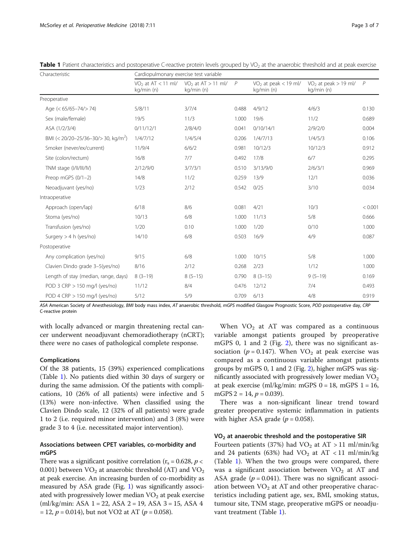| Characteristic                                  | Cardiopulmonary exercise test variable |                                      |       |                                      |                                        |                |
|-------------------------------------------------|----------------------------------------|--------------------------------------|-------|--------------------------------------|----------------------------------------|----------------|
|                                                 | $VO2$ at AT < 11 ml/<br>kg/min (n)     | $VO2$ at AT $> 11$ ml/<br>kg/min (n) | P     | $VO2$ at peak < 19 ml/<br>kg/min (n) | $VO2$ at peak $> 19$ ml/<br>kg/min (n) | $\overline{P}$ |
| Preoperative                                    |                                        |                                      |       |                                      |                                        |                |
| Age (< 65/65-74/> 74)                           | 5/8/11                                 | 3/7/4                                | 0.488 | 4/9/12                               | 4/6/3                                  | 0.130          |
| Sex (male/female)                               | 19/5                                   | 11/3                                 | 1.000 | 19/6                                 | 11/2                                   | 0.689          |
| ASA (1/2/3/4)                                   | 0/11/12/1                              | 2/8/4/0                              | 0.041 | 0/10/14/1                            | 2/9/2/0                                | 0.004          |
| BMI (< 20/20-25/36-30/> 30, kg/m <sup>2</sup> ) | 1/4/7/12                               | 1/4/5/4                              | 0.206 | 1/4/7/13                             | 1/4/5/3                                | 0.106          |
| Smoker (never/ex/current)                       | 11/9/4                                 | 6/6/2                                | 0.981 | 10/12/3                              | 10/12/3                                | 0.912          |
| Site (colon/rectum)                             | 16/8                                   | 7/7                                  | 0.492 | 17/8                                 | 6/7                                    | 0.295          |
| TNM stage (I/II/III/IV)                         | 2/12/9/0                               | 3/7/3/1                              | 0.510 | 3/13/9/0                             | 2/6/3/1                                | 0.969          |
| Preop mGPS $(0/1-2)$                            | 14/8                                   | 11/2                                 | 0.259 | 13/9                                 | 12/1                                   | 0.036          |
| Neoadjuvant (yes/no)                            | 1/23                                   | 2/12                                 | 0.542 | 0/25                                 | 3/10                                   | 0.034          |
| Intraoperative                                  |                                        |                                      |       |                                      |                                        |                |
| Approach (open/lap)                             | 6/18                                   | 8/6                                  | 0.081 | 4/21                                 | 10/3                                   | < 0.001        |
| Stoma (yes/no)                                  | 10/13                                  | 6/8                                  | 1.000 | 11/13                                | 5/8                                    | 0.666          |
| Transfusion (yes/no)                            | 1/20                                   | 0.10                                 | 1.000 | 1/20                                 | 0/10                                   | 1.000          |
| Surgery $>$ 4 h (yes/no)                        | 14/10                                  | 6/8                                  | 0.503 | 16/9                                 | 4/9                                    | 0.087          |
| Postoperative                                   |                                        |                                      |       |                                      |                                        |                |
| Any complication (yes/no)                       | 9/15                                   | 6/8                                  | 1.000 | 10/15                                | 5/8                                    | 1.000          |
| Clavien Dindo grade 3-5(yes/no)                 | 8/16                                   | 2/12                                 | 0.268 | 2/23                                 | 1/12                                   | 1.000          |
| Length of stay (median, range, days)            | $8(3-19)$                              | $8(5-15)$                            | 0.790 | $8(3-15)$                            | $9(5-19)$                              | 0.169          |
| POD 3 CRP > 150 mg/l (yes/no)                   | 11/12                                  | 8/4                                  | 0.476 | 12/12                                | 7/4                                    | 0.493          |
| POD 4 $CRP > 150$ mg/l (yes/no)                 | 5/12                                   | 5/9                                  | 0.709 | 6/13                                 | 4/8                                    | 0.919          |

<span id="page-2-0"></span>Table 1 Patient characteristics and postoperative C-reactive protein levels grouped by VO<sub>2</sub> at the anaerobic threshold and at peak exercise

ASA American Society of Anesthesiology, BMI body mass index, AT anaerobic threshold, mGPS modified Glasgow Prognostic Score, POD postoperative day, CRP C-reactive protein

with locally advanced or margin threatening rectal cancer underwent neoadjuvant chemoradiotherapy (nCRT); there were no cases of pathological complete response.

# Complications

Of the 38 patients, 15 (39%) experienced complications (Table 1). No patients died within 30 days of surgery or during the same admission. Of the patients with complications, 10 (26% of all patients) were infective and 5 (13%) were non-infective. When classified using the Clavien Dindo scale, 12 (32% of all patients) were grade 1 to 2 (i.e. required minor intervention) and 3 (8%) were grade 3 to 4 (i.e. necessitated major intervention).

# Associations between CPET variables, co-morbidity and mGPS

There was a significant positive correlation ( $r_s = 0.628$ ,  $p <$ 0.001) between  $VO_2$  at anaerobic threshold (AT) and  $VO_2$ at peak exercise. An increasing burden of co-morbidity as measured by ASA grade (Fig. [1](#page-3-0)) was significantly associated with progressively lower median  $VO<sub>2</sub>$  at peak exercise  $(ml/kg/min: ASA 1 = 22, ASA 2 = 19, ASA 3 = 15, ASA 4$  $= 12, p = 0.014$ , but not VO2 at AT ( $p = 0.058$ ).

When  $VO<sub>2</sub>$  at AT was compared as a continuous variable amongst patients grouped by preoperative mGPS 0, 1 and 2 (Fig. [2\)](#page-3-0), there was no significant association ( $p = 0.147$ ). When VO<sub>2</sub> at peak exercise was compared as a continuous variable amongst patients groups by mGPS 0, 1 and 2 (Fig. [2](#page-3-0)), higher mGPS was significantly associated with progressively lower median  $VO<sub>2</sub>$ at peak exercise (ml/kg/min: mGPS  $0 = 18$ , mGPS  $1 = 16$ , mGPS 2 = 14,  $p = 0.039$ ).

There was a non-significant linear trend toward greater preoperative systemic inflammation in patients with higher ASA grade  $(p = 0.058)$ .

# $VO<sub>2</sub>$  at anaerobic threshold and the postoperative SIR

Fourteen patients (37%) had  $VO<sub>2</sub>$  at AT > 11 ml/min/kg and 24 patients (63%) had  $VO<sub>2</sub>$  at AT < 11 ml/min/kg (Table 1). When the two groups were compared, there was a significant association between  $VO<sub>2</sub>$  at AT and ASA grade ( $p = 0.041$ ). There was no significant association between  $VO<sub>2</sub>$  at AT and other preoperative characteristics including patient age, sex, BMI, smoking status, tumour site, TNM stage, preoperative mGPS or neoadjuvant treatment (Table 1).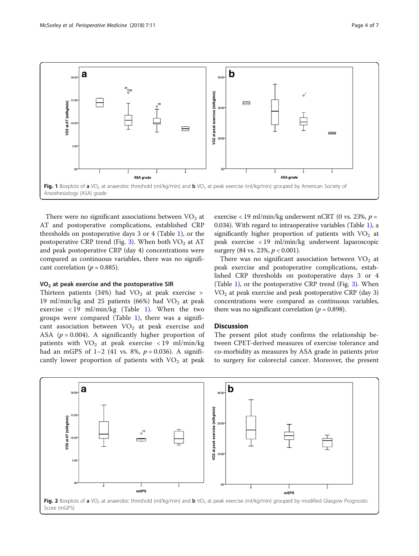<span id="page-3-0"></span>

There were no significant associations between  $VO<sub>2</sub>$  at AT and postoperative complications, established CRP thresholds on postoperative days 3 or 4 (Table [1](#page-2-0)), or the postoperative CRP trend (Fig. [3](#page-4-0)). When both  $VO<sub>2</sub>$  at AT and peak postoperative CRP (day 4) concentrations were compared as continuous variables, there was no significant correlation ( $p = 0.885$ ).

# $VO<sub>2</sub>$  at peak exercise and the postoperative SIR

Thirteen patients (34%) had  $VO<sub>2</sub>$  at peak exercise > 19 ml/min/kg and 25 patients (66%) had  $VO<sub>2</sub>$  at peak exercise  $\langle 19 \text{ ml/min/kg}$  $\langle 19 \text{ ml/min/kg}$  $\langle 19 \text{ ml/min/kg}$  (Table 1). When the two groups were compared (Table [1](#page-2-0)), there was a significant association between  $VO<sub>2</sub>$  at peak exercise and ASA ( $p = 0.004$ ). A significantly higher proportion of patients with  $VO<sub>2</sub>$  at peak exercise < 19 ml/min/kg had an mGPS of  $1-2$  (41 vs. 8%,  $p = 0.036$ ). A significantly lower proportion of patients with  $VO<sub>2</sub>$  at peak

exercise < 19 ml/min/kg underwent nCRT (0 vs. 23%,  $p =$ 0.034). With regard to intraoperative variables (Table [1](#page-2-0)), a significantly higher proportion of patients with  $VO<sub>2</sub>$  at peak exercise < 19 ml/min/kg underwent laparoscopic surgery (84 vs. 23%,  $p < 0.001$ ).

There was no significant association between  $VO<sub>2</sub>$  at peak exercise and postoperative complications, established CRP thresholds on postoperative days 3 or 4 (Table [1](#page-2-0)), or the postoperative CRP trend (Fig. [3](#page-4-0)). When  $VO<sub>2</sub>$  at peak exercise and peak postoperative CRP (day 3) concentrations were compared as continuous variables, there was no significant correlation ( $p = 0.898$ ).

# **Discussion**

The present pilot study confirms the relationship between CPET-derived measures of exercise tolerance and co-morbidity as measures by ASA grade in patients prior to surgery for colorectal cancer. Moreover, the present

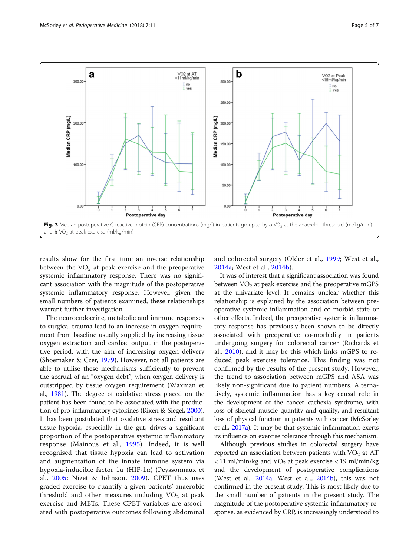<span id="page-4-0"></span>![](_page_4_Figure_2.jpeg)

results show for the first time an inverse relationship between the  $VO<sub>2</sub>$  at peak exercise and the preoperative systemic inflammatory response. There was no significant association with the magnitude of the postoperative systemic inflammatory response. However, given the small numbers of patients examined, these relationships warrant further investigation.

The neuroendocrine, metabolic and immune responses to surgical trauma lead to an increase in oxygen requirement from baseline usually supplied by increasing tissue oxygen extraction and cardiac output in the postoperative period, with the aim of increasing oxygen delivery (Shoemaker & Czer, [1979\)](#page-6-0). However, not all patients are able to utilise these mechanisms sufficiently to prevent the accrual of an "oxygen debt", when oxygen delivery is outstripped by tissue oxygen requirement (Waxman et al., [1981\)](#page-6-0). The degree of oxidative stress placed on the patient has been found to be associated with the production of pro-inflammatory cytokines (Rixen & Siegel, [2000](#page-6-0)). It has been postulated that oxidative stress and resultant tissue hypoxia, especially in the gut, drives a significant proportion of the postoperative systemic inflammatory response (Mainous et al., [1995](#page-5-0)). Indeed, it is well recognised that tissue hypoxia can lead to activation and augmentation of the innate immune system via hypoxia-inducible factor 1α (HIF-1α) (Peyssonnaux et al., [2005;](#page-6-0) Nizet & Johnson, [2009\)](#page-6-0). CPET thus uses graded exercise to quantify a given patients' anaerobic threshold and other measures including  $VO<sub>2</sub>$  at peak exercise and METs. These CPET variables are associated with postoperative outcomes following abdominal

and colorectal surgery (Older et al., [1999](#page-6-0); West et al., [2014a;](#page-6-0) West et al., [2014b](#page-6-0)).

It was of interest that a significant association was found between  $VO<sub>2</sub>$  at peak exercise and the preoperative mGPS at the univariate level. It remains unclear whether this relationship is explained by the association between preoperative systemic inflammation and co-morbid state or other effects. Indeed, the preoperative systemic inflammatory response has previously been shown to be directly associated with preoperative co-morbidity in patients undergoing surgery for colorectal cancer (Richards et al., [2010](#page-6-0)), and it may be this which links mGPS to reduced peak exercise tolerance. This finding was not confirmed by the results of the present study. However, the trend to association between mGPS and ASA was likely non-significant due to patient numbers. Alternatively, systemic inflammation has a key causal role in the development of the cancer cachexia syndrome, with loss of skeletal muscle quantity and quality, and resultant loss of physical function in patients with cancer (McSorley et al., [2017a\)](#page-5-0). It may be that systemic inflammation exerts its influence on exercise tolerance through this mechanism.

Although previous studies in colorectal surgery have reported an association between patients with  $VO<sub>2</sub>$  at AT  $<$  11 ml/min/kg and VO<sub>2</sub> at peak exercise  $<$  19 ml/min/kg and the development of postoperative complications (West et al., [2014a;](#page-6-0) West et al., [2014b](#page-6-0)), this was not confirmed in the present study. This is most likely due to the small number of patients in the present study. The magnitude of the postoperative systemic inflammatory response, as evidenced by CRP, is increasingly understood to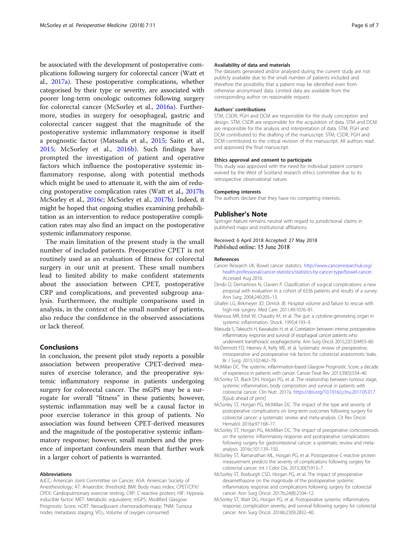<span id="page-5-0"></span>be associated with the development of postoperative complications following surgery for colorectal cancer (Watt et al., [2017a](#page-6-0)). These postoperative complications, whether categorised by their type or severity, are associated with poorer long-term oncologic outcomes following surgery for colorectal cancer (McSorley et al., 2016a). Furthermore, studies in surgery for oesophageal, gastric and colorectal cancer suggest that the magnitude of the postoperative systemic inflammatory response is itself a prognostic factor (Matsuda et al., 2015; Saito et al., [2015;](#page-6-0) McSorley et al., 2016b). Such findings have prompted the investigation of patient and operative factors which influence the postoperative systemic inflammatory response, along with potential methods which might be used to attenuate it, with the aim of reducing postoperative complication rates (Watt et al., [2017b](#page-6-0); McSorley et al., 2016c; McSorley et al., 2017b). Indeed, it might be hoped that ongoing studies examining prehabilitation as an intervention to reduce postoperative complication rates may also find an impact on the postoperative systemic inflammatory response.

The main limitation of the present study is the small number of included patients. Preoperative CPET is not routinely used as an evaluation of fitness for colorectal surgery in our unit at present. These small numbers lead to limited ability to make confident statements about the association between CPET, postoperative CRP and complications, and prevented subgroup analysis. Furthermore, the multiple comparisons used in analysis, in the context of the small number of patients, also reduce the confidence in the observed associations or lack thereof.

# **Conclusions**

In conclusion, the present pilot study reports a possible association between preoperative CPET-derived measures of exercise tolerance, and the preoperative systemic inflammatory response in patients undergoing surgery for colorectal cancer. The mGPS may be a surrogate for overall "fitness" in these patients; however, systemic inflammation may well be a causal factor in poor exercise tolerance in this group of patients. No association was found between CPET-derived measures and the magnitude of the postoperative systemic inflammatory response; however, small numbers and the presence of important confounders mean that further work in a larger cohort of patients is warranted.

#### Abbreviations

AJCC: American Joint Committee on Cancer; ASA: American Society of Anesthesiology; AT: Anaerobic threshold; BMI: Body mass index; CPET/CPX/ CPEX: Cardiopulmonary exercise testing; CRP: C-reactive protein; HIF: Hypoxia inducible factor; MET: Metabolic equivalent; mGPS: Modified Glasgow Prognostic Score; nCRT: Neoadjuvant chemoradiotherapy; TNM: Tumour nodes metastasis staging; VO<sub>2</sub>: Volume of oxygen consumed

#### Availability of data and materials

The datasets generated and/or analysed during the current study are not publicly available due to the small number of patients included and therefore the possibility that a patient may be identified even from otherwise anonymised data. Limited data are available from the corresponding author on reasonable request.

#### Authors' contributions

STM, CSDR, PGH and DCM are responsible for the study conception and design. STM, CSDR are responsible for the acquisition of data. STM and DCM are responsible for the analysis and interpretation of data. STM, PGH and DCM contributed to the drafting of the manuscript. STM, CSDR, PGH and DCM contributed to the critical revision of the manuscript. All authors read and approved the final manuscript.

#### Ethics approval and consent to participate

This study was approved with the need for individual patient consent waived by the West of Scotland research ethics committee due to its retrospective observational nature.

#### Competing interests

The authors declare that they have no competing interests.

#### Publisher's Note

Springer Nature remains neutral with regard to jurisdictional claims in published maps and institutional affiliations.

#### Received: 6 April 2018 Accepted: 27 May 2018 Published online: 15 June 2018

#### References

- Cancer Research UK. Bowel cancer statistics. [http://www.cancerresearchuk.org/](http://www.cancerresearchuk.org/health-professional/cancer-statistics/statistics-by-cancer-type/bowel-cancer) [health-professional/cancer-statistics/statistics-by-cancer-type/bowel-cancer.](http://www.cancerresearchuk.org/health-professional/cancer-statistics/statistics-by-cancer-type/bowel-cancer) Accessed Aug 2016.
- Dindo D, Demartines N, Clavien P. Classification of surgical complications: a new proposal with evaluation in a cohort of 6336 patients and results of a survey. Ann Surg. 2004;240:205–13.
- Ghaferi LG, Birkmeyer JD, Dimick JB. Hospital volume and failure to rescue with high-risk surgery. Med Care. 2011;49:1076–81.
- Mainous MR, Ertel W, Chaudry IH, et al. The gut: a cytokine-generating organ in systemic inflammation. Shock. 1995;4:193–9.
- Matsuda S, Takeuchi H, Kawakubo H, et al. Correlation between intense postoperative inflammatory response and survival of esophageal cancer patients who underwent transthoracic esophagectomy. Ann Surg Oncol. 2015;22(13):4453–60.
- McDermott FD, Heeney A, Kelly ME, et al. Systematic review of preoperative, intraoperative and postoperative risk factors for colorectal anastomotic leaks. Br J Surg. 2015;102:462–79.
- McMillan DC. The systemic inflammation-based Glasgow Prognostic Score: a decade of experience in patients with cancer. Cancer Treat Rev. 2013;39(5):534–40.
- McSorley ST, Black DH, Horgan PG, et al. The relationship between tumour stage, systemic inflammation, body composition and survival in patients with colorectal cancer. Clin Nutr. 2017a. [https://doi.org/10.1016/j.clnu.2017.05.017.](https://doi.org/10.1016/j.clnu.2017.05.017) [Epub ahead of print]
- McSorley ST, Horgan PG, McMillan DC. The impact of the type and severity of postoperative complications on long-term outcomes following surgery for colorectal cancer: a systematic review and meta-analysis. Cit Rev Oncol Hematol. 2016a;97:168–77.
- McSorley ST, Horgan PG, McMillan DC. The impact of preoperative corticosteroids on the systemic inflammatory response and postoperative complications following surgery for gastrointestinal cancer: a systematic review and metaanalysis. 2016c;101:139–150.
- McSorley ST, Ramanathan ML, Horgan PG, et al. Postoperative C-reactive protein measurement predicts the severity of complications following surgery for colorectal cancer. Int J Color Dis. 2015;30(7):913–7.
- McSorley ST, Roxburgh CSD, Horgan PG, et al. The impact of preoperative dexamethasone on the magnitude of the postoperative systemic inflammatory response and complications following surgery for colorectal cancer. Ann Surg Oncol. 2017b;24(8):2104–12.
- McSorley ST, Watt DG, Horgan PG, et al. Postoperative systemic inflammatory response, complication severity, and survival following surgery for colorectal cancer. Ann Surg Oncol. 2016b;23(9):2832–40.